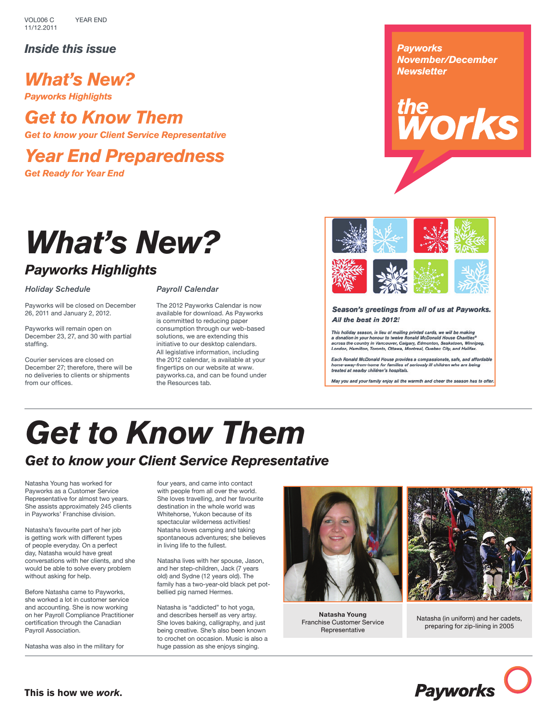VOL006 C 11/12.2011 Year End

*Inside this issue*

*What's New?*

*Payworks Highlights*

# *Get to Know Them*

*Get to know your Client Service Representative*

*Year End Preparedness*

*Get Ready for Year End*

# *What's New?*

# *Payworks Highlights*

# *Holiday Schedule*

Payworks will be closed on December 26, 2011 and January 2, 2012.

Payworks will remain open on December 23, 27, and 30 with partial staffing.

Courier services are closed on December 27; therefore, there will be no deliveries to clients or shipments from our offices.

### *Payroll Calendar*

The 2012 Payworks Calendar is now available for download. As Payworks is committed to reducing paper consumption through our web-based solutions, we are extending this initiative to our desktop calendars. All legislative information, including the 2012 calendar, is available at your fingertips on our website at www. payworks.ca, and can be found under the Resources tab.

# *Payworks November/December Newsletter*





Season's greetings from all of us at Payworks. All the best in 2012!

This holiday season, in lieu of mailing printed cards, we will be making<br>a donation in your honour to twelve Ronald McDonald House Charities® a cross the country in Vancouver, Calgary, Edmonton, Saskatoon, Winnipeg,<br>London, Hamilton, Toronto, Ottawa, Montreal, Quebec City, and Halifax.

Each Ronald McDonald House provides a compassionate, safe, and affordable<br>home-away-from-home for families of seriously ill children who are being<br>treated at nearby children's hospitals.

May you and your family enjoy all the warmth and cheer the season has to offer.

# *Get to Know Them Get to know your Client Service Representative*

Natasha Young has worked for Payworks as a Customer Service Representative for almost two years. She assists approximately 245 clients in Payworks' Franchise division.

Natasha's favourite part of her job is getting work with different types of people everyday. On a perfect day, Natasha would have great conversations with her clients, and she would be able to solve every problem without asking for help.

Before Natasha came to Payworks, she worked a lot in customer service and accounting. She is now working on her Payroll Compliance Practitioner certification through the Canadian Payroll Association.

Natasha was also in the military for

four years, and came into contact with people from all over the world. She loves travelling, and her favourite destination in the whole world was Whitehorse, Yukon because of its spectacular wilderness activities! Natasha loves camping and taking spontaneous adventures; she believes in living life to the fullest.

Natasha lives with her spouse, Jason, and her step-children, Jack (7 years old) and Sydne (12 years old). The family has a two-year-old black pet potbellied pig named Hermes.

Natasha is "addicted" to hot yoga, and describes herself as very artsy. She loves baking, calligraphy, and just being creative. She's also been known to crochet on occasion. Music is also a huge passion as she enjoys singing.



**Natasha Young** Franchise Customer Service Representative



Natasha (in uniform) and her cadets, preparing for zip-lining in 2005